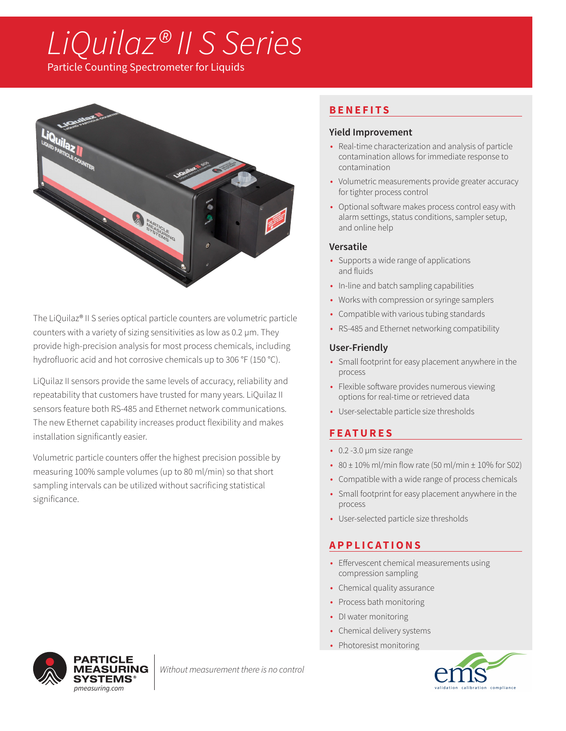# *LiQuilaz® II S Series*

Particle Counting Spectrometer for Liquids



The LiQuilaz® II S series optical particle counters are volumetric particle counters with a variety of sizing sensitivities as low as 0.2 µm. They provide high-precision analysis for most process chemicals, including hydrofluoric acid and hot corrosive chemicals up to 306 °F (150 °C).

LiQuilaz II sensors provide the same levels of accuracy, reliability and repeatability that customers have trusted for many years. LiQuilaz II sensors feature both RS-485 and Ethernet network communications. The new Ethernet capability increases product flexibility and makes installation significantly easier.

Volumetric particle counters offer the highest precision possible by measuring 100% sample volumes (up to 80 ml/min) so that short sampling intervals can be utilized without sacrificing statistical significance.

## **BENEFITS**

### **Yield Improvement**

- Real-time characterization and analysis of particle contamination allows for immediate response to contamination
- Volumetric measurements provide greater accuracy for tighter process control
- Optional software makes process control easy with alarm settings, status conditions, sampler setup, and online help

## **Versatile**

- Supports a wide range of applications and fluids
- In-line and batch sampling capabilities
- Works with compression or syringe samplers
- Compatible with various tubing standards
- RS-485 and Ethernet networking compatibility

### **User-Friendly**

- Small footprint for easy placement anywhere in the process
- Flexible software provides numerous viewing options for real-time or retrieved data
- User-selectable particle size thresholds

# **FEATURES**

- 0.2 -3.0 µm size range
- 80  $\pm$  10% ml/min flow rate (50 ml/min  $\pm$  10% for S02)
- Compatible with a wide range of process chemicals
- Small footprint for easy placement anywhere in the process
- User-selected particle size thresholds

## **APPLICATIONS**

- Effervescent chemical measurements using compression sampling
- Chemical quality assurance
- Process bath monitoring
- DI water monitoring
- Chemical delivery systems
- Photoresist monitoring





*Without measurement there is no control*